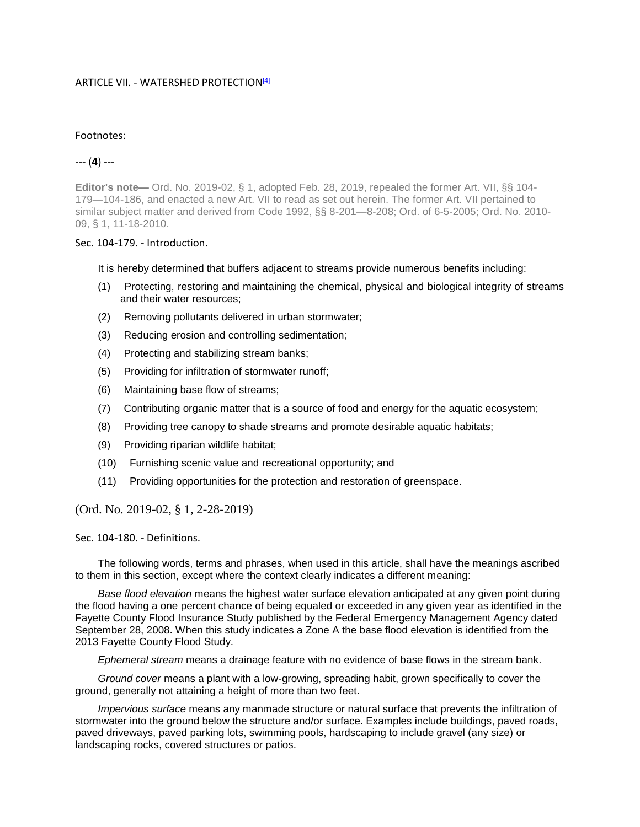## ARTICLE VII. - WATERSHED PROTECTION<sup>[4]</sup>

## Footnotes:

## --- (**4**) ---

**Editor's note—** Ord. No. 2019-02, § 1, adopted Feb. 28, 2019, repealed the former Art. VII, §§ 104- 179—104-186, and enacted a new Art. VII to read as set out herein. The former Art. VII pertained to similar subject matter and derived from Code 1992, §§ 8-201—8-208; Ord. of 6-5-2005; Ord. No. 2010- 09, § 1, 11-18-2010.

## Sec. 104-179. - Introduction.

It is hereby determined that buffers adjacent to streams provide numerous benefits including:

- (1) Protecting, restoring and maintaining the chemical, physical and biological integrity of streams and their water resources;
- (2) Removing pollutants delivered in urban stormwater;
- (3) Reducing erosion and controlling sedimentation;
- (4) Protecting and stabilizing stream banks;
- (5) Providing for infiltration of stormwater runoff;
- (6) Maintaining base flow of streams;
- (7) Contributing organic matter that is a source of food and energy for the aquatic ecosystem;
- (8) Providing tree canopy to shade streams and promote desirable aquatic habitats;
- (9) Providing riparian wildlife habitat;
- (10) Furnishing scenic value and recreational opportunity; and
- (11) Providing opportunities for the protection and restoration of greenspace.

(Ord. No. 2019-02, § 1, 2-28-2019)

Sec. 104-180. - Definitions.

The following words, terms and phrases, when used in this article, shall have the meanings ascribed to them in this section, except where the context clearly indicates a different meaning:

*Base flood elevation* means the highest water surface elevation anticipated at any given point during the flood having a one percent chance of being equaled or exceeded in any given year as identified in the Fayette County Flood Insurance Study published by the Federal Emergency Management Agency dated September 28, 2008. When this study indicates a Zone A the base flood elevation is identified from the 2013 Fayette County Flood Study.

*Ephemeral stream* means a drainage feature with no evidence of base flows in the stream bank.

*Ground cover* means a plant with a low-growing, spreading habit, grown specifically to cover the ground, generally not attaining a height of more than two feet.

*Impervious surface* means any manmade structure or natural surface that prevents the infiltration of stormwater into the ground below the structure and/or surface. Examples include buildings, paved roads, paved driveways, paved parking lots, swimming pools, hardscaping to include gravel (any size) or landscaping rocks, covered structures or patios.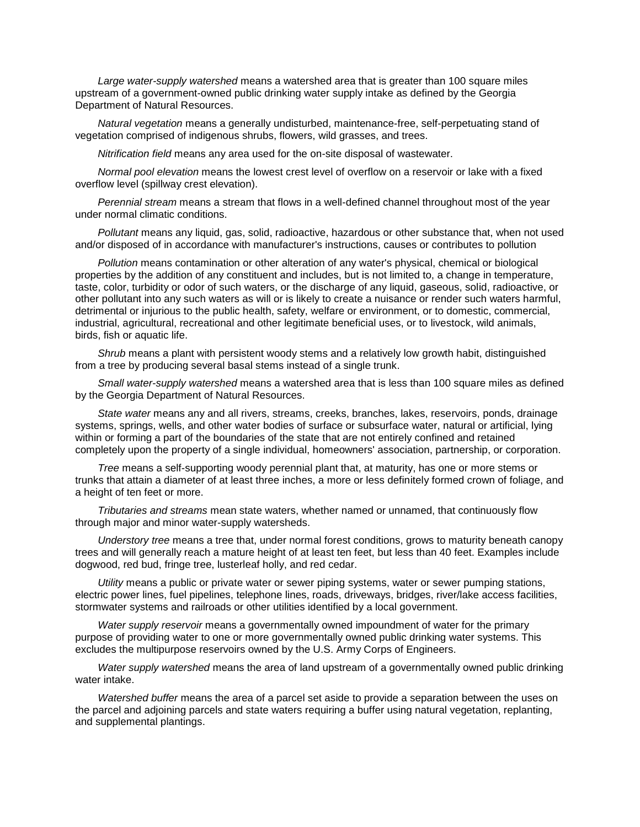*Large water-supply watershed* means a watershed area that is greater than 100 square miles upstream of a government-owned public drinking water supply intake as defined by the Georgia Department of Natural Resources.

*Natural vegetation* means a generally undisturbed, maintenance-free, self-perpetuating stand of vegetation comprised of indigenous shrubs, flowers, wild grasses, and trees.

*Nitrification field* means any area used for the on-site disposal of wastewater.

*Normal pool elevation* means the lowest crest level of overflow on a reservoir or lake with a fixed overflow level (spillway crest elevation).

*Perennial stream* means a stream that flows in a well-defined channel throughout most of the year under normal climatic conditions.

*Pollutant* means any liquid, gas, solid, radioactive, hazardous or other substance that, when not used and/or disposed of in accordance with manufacturer's instructions, causes or contributes to pollution

*Pollution* means contamination or other alteration of any water's physical, chemical or biological properties by the addition of any constituent and includes, but is not limited to, a change in temperature, taste, color, turbidity or odor of such waters, or the discharge of any liquid, gaseous, solid, radioactive, or other pollutant into any such waters as will or is likely to create a nuisance or render such waters harmful, detrimental or injurious to the public health, safety, welfare or environment, or to domestic, commercial, industrial, agricultural, recreational and other legitimate beneficial uses, or to livestock, wild animals, birds, fish or aquatic life.

*Shrub* means a plant with persistent woody stems and a relatively low growth habit, distinguished from a tree by producing several basal stems instead of a single trunk.

*Small water-supply watershed* means a watershed area that is less than 100 square miles as defined by the Georgia Department of Natural Resources.

*State water* means any and all rivers, streams, creeks, branches, lakes, reservoirs, ponds, drainage systems, springs, wells, and other water bodies of surface or subsurface water, natural or artificial, lying within or forming a part of the boundaries of the state that are not entirely confined and retained completely upon the property of a single individual, homeowners' association, partnership, or corporation.

*Tree* means a self-supporting woody perennial plant that, at maturity, has one or more stems or trunks that attain a diameter of at least three inches, a more or less definitely formed crown of foliage, and a height of ten feet or more.

*Tributaries and streams* mean state waters, whether named or unnamed, that continuously flow through major and minor water-supply watersheds.

*Understory tree* means a tree that, under normal forest conditions, grows to maturity beneath canopy trees and will generally reach a mature height of at least ten feet, but less than 40 feet. Examples include dogwood, red bud, fringe tree, lusterleaf holly, and red cedar.

*Utility* means a public or private water or sewer piping systems, water or sewer pumping stations, electric power lines, fuel pipelines, telephone lines, roads, driveways, bridges, river/lake access facilities, stormwater systems and railroads or other utilities identified by a local government.

*Water supply reservoir* means a governmentally owned impoundment of water for the primary purpose of providing water to one or more governmentally owned public drinking water systems. This excludes the multipurpose reservoirs owned by the U.S. Army Corps of Engineers.

*Water supply watershed* means the area of land upstream of a governmentally owned public drinking water intake.

*Watershed buffer* means the area of a parcel set aside to provide a separation between the uses on the parcel and adjoining parcels and state waters requiring a buffer using natural vegetation, replanting, and supplemental plantings.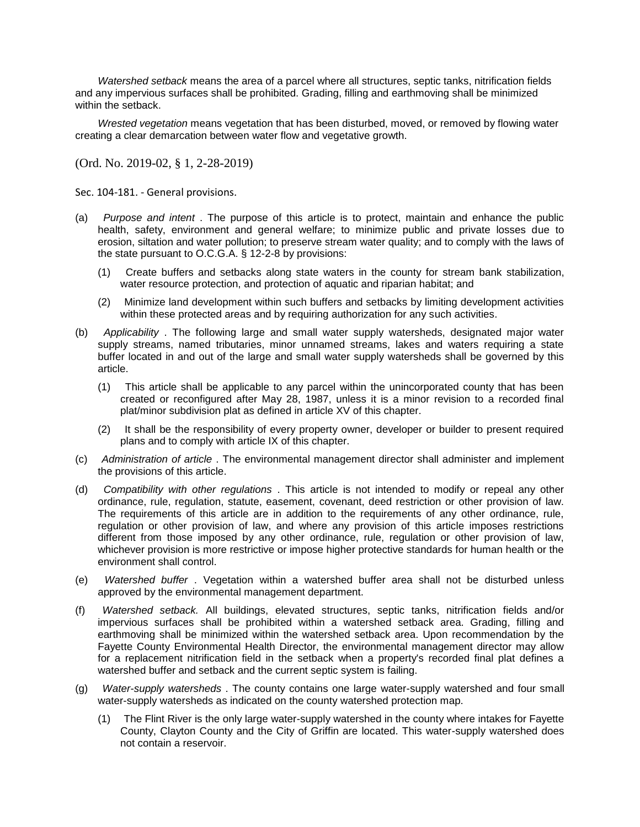*Watershed setback* means the area of a parcel where all structures, septic tanks, nitrification fields and any impervious surfaces shall be prohibited. Grading, filling and earthmoving shall be minimized within the setback.

*Wrested vegetation* means vegetation that has been disturbed, moved, or removed by flowing water creating a clear demarcation between water flow and vegetative growth.

(Ord. No. 2019-02, § 1, 2-28-2019)

Sec. 104-181. - General provisions.

- (a) *Purpose and intent* . The purpose of this article is to protect, maintain and enhance the public health, safety, environment and general welfare; to minimize public and private losses due to erosion, siltation and water pollution; to preserve stream water quality; and to comply with the laws of the state pursuant to O.C.G.A. § 12-2-8 by provisions:
	- (1) Create buffers and setbacks along state waters in the county for stream bank stabilization, water resource protection, and protection of aquatic and riparian habitat; and
	- (2) Minimize land development within such buffers and setbacks by limiting development activities within these protected areas and by requiring authorization for any such activities.
- (b) *Applicability* . The following large and small water supply watersheds, designated major water supply streams, named tributaries, minor unnamed streams, lakes and waters requiring a state buffer located in and out of the large and small water supply watersheds shall be governed by this article.
	- (1) This article shall be applicable to any parcel within the unincorporated county that has been created or reconfigured after May 28, 1987, unless it is a minor revision to a recorded final plat/minor subdivision plat as defined in article XV of this chapter.
	- (2) It shall be the responsibility of every property owner, developer or builder to present required plans and to comply with article IX of this chapter.
- (c) *Administration of article* . The environmental management director shall administer and implement the provisions of this article.
- (d) *Compatibility with other regulations* . This article is not intended to modify or repeal any other ordinance, rule, regulation, statute, easement, covenant, deed restriction or other provision of law. The requirements of this article are in addition to the requirements of any other ordinance, rule, regulation or other provision of law, and where any provision of this article imposes restrictions different from those imposed by any other ordinance, rule, regulation or other provision of law, whichever provision is more restrictive or impose higher protective standards for human health or the environment shall control.
- (e) *Watershed buffer* . Vegetation within a watershed buffer area shall not be disturbed unless approved by the environmental management department.
- (f) *Watershed setback.* All buildings, elevated structures, septic tanks, nitrification fields and/or impervious surfaces shall be prohibited within a watershed setback area. Grading, filling and earthmoving shall be minimized within the watershed setback area. Upon recommendation by the Fayette County Environmental Health Director, the environmental management director may allow for a replacement nitrification field in the setback when a property's recorded final plat defines a watershed buffer and setback and the current septic system is failing.
- (g) *Water-supply watersheds* . The county contains one large water-supply watershed and four small water-supply watersheds as indicated on the county watershed protection map.
	- (1) The Flint River is the only large water-supply watershed in the county where intakes for Fayette County, Clayton County and the City of Griffin are located. This water-supply watershed does not contain a reservoir.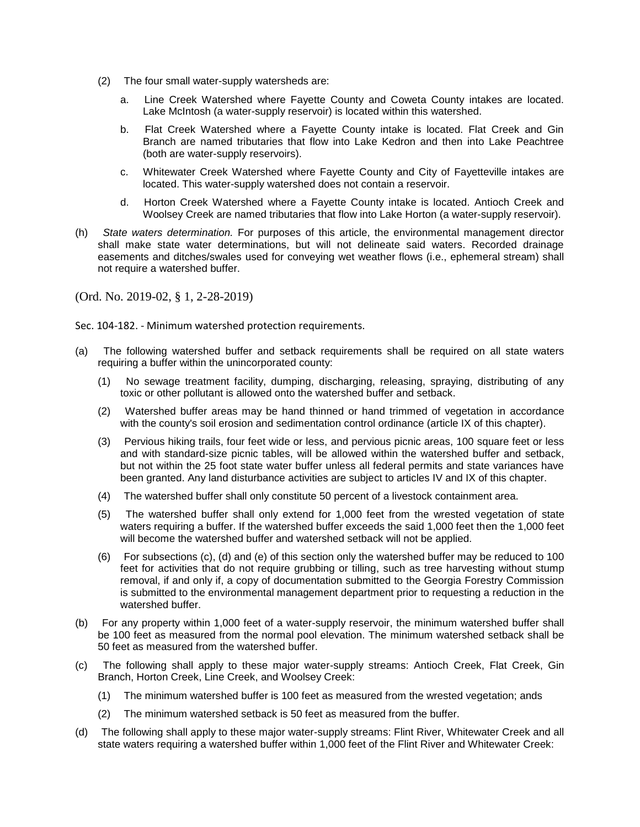- (2) The four small water-supply watersheds are:
	- a. Line Creek Watershed where Fayette County and Coweta County intakes are located. Lake McIntosh (a water-supply reservoir) is located within this watershed.
	- b. Flat Creek Watershed where a Fayette County intake is located. Flat Creek and Gin Branch are named tributaries that flow into Lake Kedron and then into Lake Peachtree (both are water-supply reservoirs).
	- c. Whitewater Creek Watershed where Fayette County and City of Fayetteville intakes are located. This water-supply watershed does not contain a reservoir.
	- d. Horton Creek Watershed where a Fayette County intake is located. Antioch Creek and Woolsey Creek are named tributaries that flow into Lake Horton (a water-supply reservoir).
- (h) *State waters determination.* For purposes of this article, the environmental management director shall make state water determinations, but will not delineate said waters. Recorded drainage easements and ditches/swales used for conveying wet weather flows (i.e., ephemeral stream) shall not require a watershed buffer.

(Ord. No. 2019-02, § 1, 2-28-2019)

Sec. 104-182. - Minimum watershed protection requirements.

- (a) The following watershed buffer and setback requirements shall be required on all state waters requiring a buffer within the unincorporated county:
	- (1) No sewage treatment facility, dumping, discharging, releasing, spraying, distributing of any toxic or other pollutant is allowed onto the watershed buffer and setback.
	- (2) Watershed buffer areas may be hand thinned or hand trimmed of vegetation in accordance with the county's soil erosion and sedimentation control ordinance (article IX of this chapter).
	- (3) Pervious hiking trails, four feet wide or less, and pervious picnic areas, 100 square feet or less and with standard-size picnic tables, will be allowed within the watershed buffer and setback, but not within the 25 foot state water buffer unless all federal permits and state variances have been granted. Any land disturbance activities are subject to articles IV and IX of this chapter.
	- (4) The watershed buffer shall only constitute 50 percent of a livestock containment area.
	- (5) The watershed buffer shall only extend for 1,000 feet from the wrested vegetation of state waters requiring a buffer. If the watershed buffer exceeds the said 1,000 feet then the 1,000 feet will become the watershed buffer and watershed setback will not be applied.
	- (6) For subsections (c), (d) and (e) of this section only the watershed buffer may be reduced to 100 feet for activities that do not require grubbing or tilling, such as tree harvesting without stump removal, if and only if, a copy of documentation submitted to the Georgia Forestry Commission is submitted to the environmental management department prior to requesting a reduction in the watershed buffer.
- (b) For any property within 1,000 feet of a water-supply reservoir, the minimum watershed buffer shall be 100 feet as measured from the normal pool elevation. The minimum watershed setback shall be 50 feet as measured from the watershed buffer.
- (c) The following shall apply to these major water-supply streams: Antioch Creek, Flat Creek, Gin Branch, Horton Creek, Line Creek, and Woolsey Creek:
	- (1) The minimum watershed buffer is 100 feet as measured from the wrested vegetation; ands
	- (2) The minimum watershed setback is 50 feet as measured from the buffer.
- (d) The following shall apply to these major water-supply streams: Flint River, Whitewater Creek and all state waters requiring a watershed buffer within 1,000 feet of the Flint River and Whitewater Creek: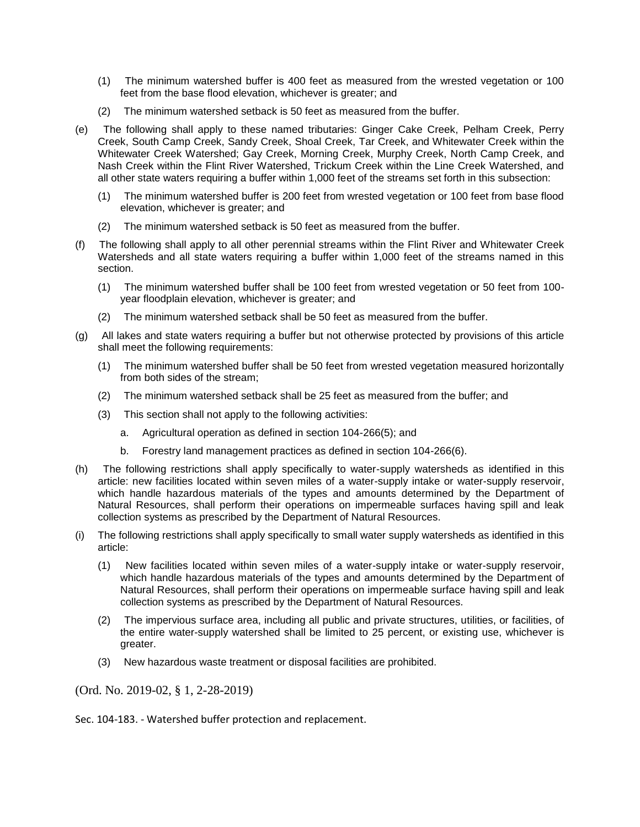- (1) The minimum watershed buffer is 400 feet as measured from the wrested vegetation or 100 feet from the base flood elevation, whichever is greater; and
- (2) The minimum watershed setback is 50 feet as measured from the buffer.
- (e) The following shall apply to these named tributaries: Ginger Cake Creek, Pelham Creek, Perry Creek, South Camp Creek, Sandy Creek, Shoal Creek, Tar Creek, and Whitewater Creek within the Whitewater Creek Watershed; Gay Creek, Morning Creek, Murphy Creek, North Camp Creek, and Nash Creek within the Flint River Watershed, Trickum Creek within the Line Creek Watershed, and all other state waters requiring a buffer within 1,000 feet of the streams set forth in this subsection:
	- (1) The minimum watershed buffer is 200 feet from wrested vegetation or 100 feet from base flood elevation, whichever is greater; and
	- (2) The minimum watershed setback is 50 feet as measured from the buffer.
- (f) The following shall apply to all other perennial streams within the Flint River and Whitewater Creek Watersheds and all state waters requiring a buffer within 1,000 feet of the streams named in this section.
	- (1) The minimum watershed buffer shall be 100 feet from wrested vegetation or 50 feet from 100 year floodplain elevation, whichever is greater; and
	- (2) The minimum watershed setback shall be 50 feet as measured from the buffer.
- (g) All lakes and state waters requiring a buffer but not otherwise protected by provisions of this article shall meet the following requirements:
	- (1) The minimum watershed buffer shall be 50 feet from wrested vegetation measured horizontally from both sides of the stream;
	- (2) The minimum watershed setback shall be 25 feet as measured from the buffer; and
	- (3) This section shall not apply to the following activities:
		- a. Agricultural operation as defined in section 104-266(5); and
		- b. Forestry land management practices as defined in section 104-266(6).
- (h) The following restrictions shall apply specifically to water-supply watersheds as identified in this article: new facilities located within seven miles of a water-supply intake or water-supply reservoir, which handle hazardous materials of the types and amounts determined by the Department of Natural Resources, shall perform their operations on impermeable surfaces having spill and leak collection systems as prescribed by the Department of Natural Resources.
- (i) The following restrictions shall apply specifically to small water supply watersheds as identified in this article:
	- (1) New facilities located within seven miles of a water-supply intake or water-supply reservoir, which handle hazardous materials of the types and amounts determined by the Department of Natural Resources, shall perform their operations on impermeable surface having spill and leak collection systems as prescribed by the Department of Natural Resources.
	- (2) The impervious surface area, including all public and private structures, utilities, or facilities, of the entire water-supply watershed shall be limited to 25 percent, or existing use, whichever is greater.
	- (3) New hazardous waste treatment or disposal facilities are prohibited.

(Ord. No. 2019-02, § 1, 2-28-2019)

Sec. 104-183. - Watershed buffer protection and replacement.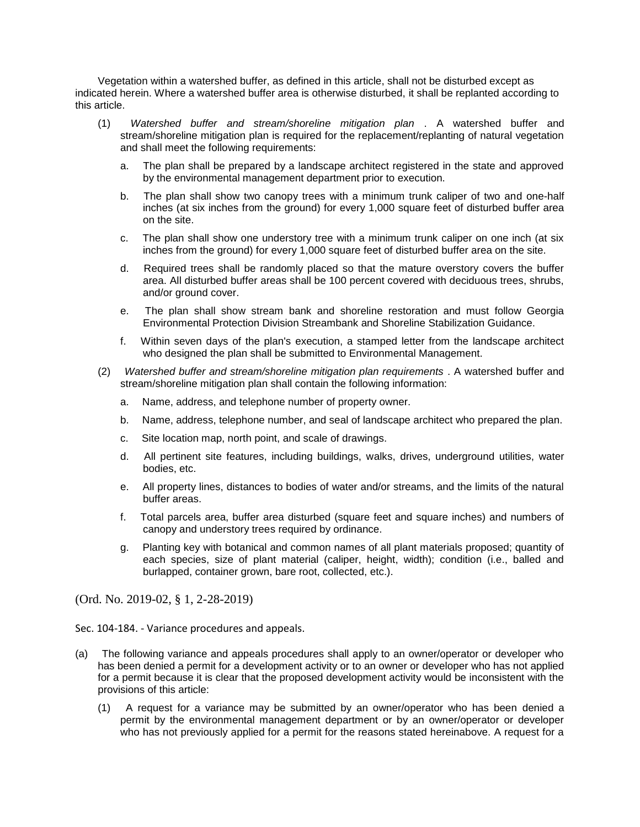Vegetation within a watershed buffer, as defined in this article, shall not be disturbed except as indicated herein. Where a watershed buffer area is otherwise disturbed, it shall be replanted according to this article.

- (1) *Watershed buffer and stream/shoreline mitigation plan* . A watershed buffer and stream/shoreline mitigation plan is required for the replacement/replanting of natural vegetation and shall meet the following requirements:
	- a. The plan shall be prepared by a landscape architect registered in the state and approved by the environmental management department prior to execution.
	- b. The plan shall show two canopy trees with a minimum trunk caliper of two and one-half inches (at six inches from the ground) for every 1,000 square feet of disturbed buffer area on the site.
	- c. The plan shall show one understory tree with a minimum trunk caliper on one inch (at six inches from the ground) for every 1,000 square feet of disturbed buffer area on the site.
	- d. Required trees shall be randomly placed so that the mature overstory covers the buffer area. All disturbed buffer areas shall be 100 percent covered with deciduous trees, shrubs, and/or ground cover.
	- e. The plan shall show stream bank and shoreline restoration and must follow Georgia Environmental Protection Division Streambank and Shoreline Stabilization Guidance.
	- f. Within seven days of the plan's execution, a stamped letter from the landscape architect who designed the plan shall be submitted to Environmental Management.
- (2) *Watershed buffer and stream/shoreline mitigation plan requirements* . A watershed buffer and stream/shoreline mitigation plan shall contain the following information:
	- a. Name, address, and telephone number of property owner.
	- b. Name, address, telephone number, and seal of landscape architect who prepared the plan.
	- c. Site location map, north point, and scale of drawings.
	- d. All pertinent site features, including buildings, walks, drives, underground utilities, water bodies, etc.
	- e. All property lines, distances to bodies of water and/or streams, and the limits of the natural buffer areas.
	- f. Total parcels area, buffer area disturbed (square feet and square inches) and numbers of canopy and understory trees required by ordinance.
	- g. Planting key with botanical and common names of all plant materials proposed; quantity of each species, size of plant material (caliper, height, width); condition (i.e., balled and burlapped, container grown, bare root, collected, etc.).

(Ord. No. 2019-02, § 1, 2-28-2019)

Sec. 104-184. - Variance procedures and appeals.

- (a) The following variance and appeals procedures shall apply to an owner/operator or developer who has been denied a permit for a development activity or to an owner or developer who has not applied for a permit because it is clear that the proposed development activity would be inconsistent with the provisions of this article:
	- (1) A request for a variance may be submitted by an owner/operator who has been denied a permit by the environmental management department or by an owner/operator or developer who has not previously applied for a permit for the reasons stated hereinabove. A request for a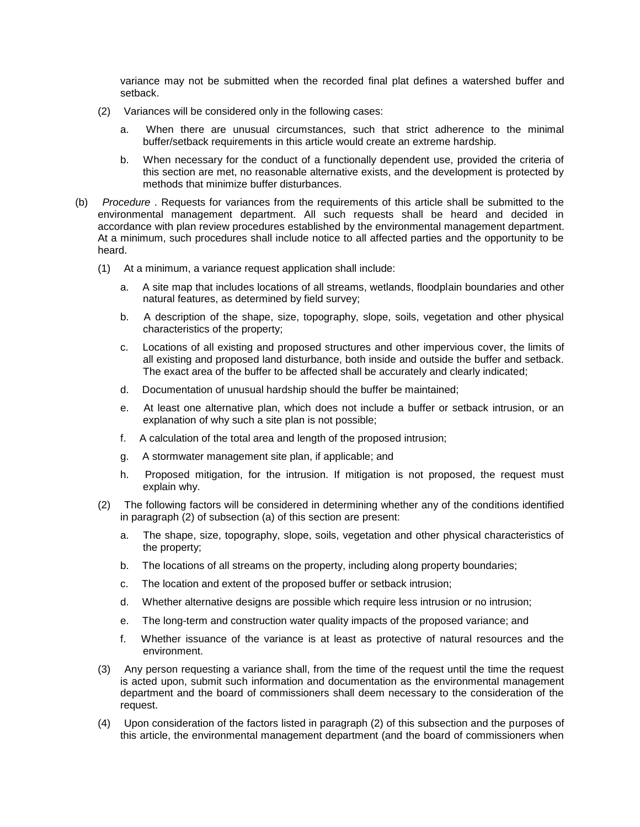variance may not be submitted when the recorded final plat defines a watershed buffer and setback.

- (2) Variances will be considered only in the following cases:
	- a. When there are unusual circumstances, such that strict adherence to the minimal buffer/setback requirements in this article would create an extreme hardship.
	- b. When necessary for the conduct of a functionally dependent use, provided the criteria of this section are met, no reasonable alternative exists, and the development is protected by methods that minimize buffer disturbances.
- (b) *Procedure* . Requests for variances from the requirements of this article shall be submitted to the environmental management department. All such requests shall be heard and decided in accordance with plan review procedures established by the environmental management department. At a minimum, such procedures shall include notice to all affected parties and the opportunity to be heard.
	- (1) At a minimum, a variance request application shall include:
		- a. A site map that includes locations of all streams, wetlands, floodplain boundaries and other natural features, as determined by field survey;
		- b. A description of the shape, size, topography, slope, soils, vegetation and other physical characteristics of the property;
		- c. Locations of all existing and proposed structures and other impervious cover, the limits of all existing and proposed land disturbance, both inside and outside the buffer and setback. The exact area of the buffer to be affected shall be accurately and clearly indicated;
		- d. Documentation of unusual hardship should the buffer be maintained;
		- e. At least one alternative plan, which does not include a buffer or setback intrusion, or an explanation of why such a site plan is not possible;
		- f. A calculation of the total area and length of the proposed intrusion;
		- g. A stormwater management site plan, if applicable; and
		- h. Proposed mitigation, for the intrusion. If mitigation is not proposed, the request must explain why.
	- (2) The following factors will be considered in determining whether any of the conditions identified in paragraph (2) of subsection (a) of this section are present:
		- a. The shape, size, topography, slope, soils, vegetation and other physical characteristics of the property;
		- b. The locations of all streams on the property, including along property boundaries;
		- c. The location and extent of the proposed buffer or setback intrusion;
		- d. Whether alternative designs are possible which require less intrusion or no intrusion;
		- e. The long-term and construction water quality impacts of the proposed variance; and
		- f. Whether issuance of the variance is at least as protective of natural resources and the environment.
	- (3) Any person requesting a variance shall, from the time of the request until the time the request is acted upon, submit such information and documentation as the environmental management department and the board of commissioners shall deem necessary to the consideration of the request.
	- (4) Upon consideration of the factors listed in paragraph (2) of this subsection and the purposes of this article, the environmental management department (and the board of commissioners when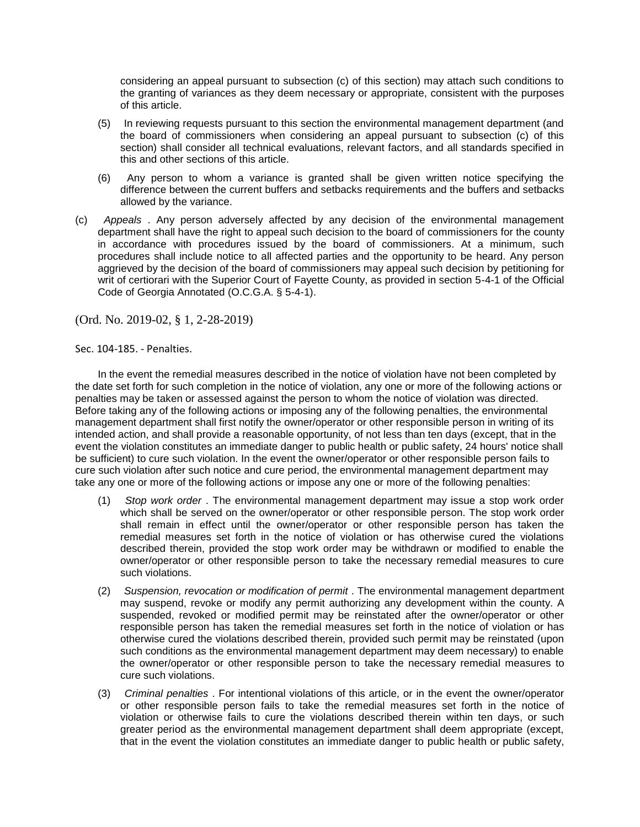considering an appeal pursuant to subsection (c) of this section) may attach such conditions to the granting of variances as they deem necessary or appropriate, consistent with the purposes of this article.

- (5) In reviewing requests pursuant to this section the environmental management department (and the board of commissioners when considering an appeal pursuant to subsection (c) of this section) shall consider all technical evaluations, relevant factors, and all standards specified in this and other sections of this article.
- (6) Any person to whom a variance is granted shall be given written notice specifying the difference between the current buffers and setbacks requirements and the buffers and setbacks allowed by the variance.
- (c) *Appeals* . Any person adversely affected by any decision of the environmental management department shall have the right to appeal such decision to the board of commissioners for the county in accordance with procedures issued by the board of commissioners. At a minimum, such procedures shall include notice to all affected parties and the opportunity to be heard. Any person aggrieved by the decision of the board of commissioners may appeal such decision by petitioning for writ of certiorari with the Superior Court of Fayette County, as provided in section 5-4-1 of the Official Code of Georgia Annotated (O.C.G.A. § 5-4-1).

(Ord. No. 2019-02, § 1, 2-28-2019)

Sec. 104-185. - Penalties.

In the event the remedial measures described in the notice of violation have not been completed by the date set forth for such completion in the notice of violation, any one or more of the following actions or penalties may be taken or assessed against the person to whom the notice of violation was directed. Before taking any of the following actions or imposing any of the following penalties, the environmental management department shall first notify the owner/operator or other responsible person in writing of its intended action, and shall provide a reasonable opportunity, of not less than ten days (except, that in the event the violation constitutes an immediate danger to public health or public safety, 24 hours' notice shall be sufficient) to cure such violation. In the event the owner/operator or other responsible person fails to cure such violation after such notice and cure period, the environmental management department may take any one or more of the following actions or impose any one or more of the following penalties:

- (1) *Stop work order* . The environmental management department may issue a stop work order which shall be served on the owner/operator or other responsible person. The stop work order shall remain in effect until the owner/operator or other responsible person has taken the remedial measures set forth in the notice of violation or has otherwise cured the violations described therein, provided the stop work order may be withdrawn or modified to enable the owner/operator or other responsible person to take the necessary remedial measures to cure such violations.
- (2) *Suspension, revocation or modification of permit* . The environmental management department may suspend, revoke or modify any permit authorizing any development within the county. A suspended, revoked or modified permit may be reinstated after the owner/operator or other responsible person has taken the remedial measures set forth in the notice of violation or has otherwise cured the violations described therein, provided such permit may be reinstated (upon such conditions as the environmental management department may deem necessary) to enable the owner/operator or other responsible person to take the necessary remedial measures to cure such violations.
- (3) *Criminal penalties* . For intentional violations of this article, or in the event the owner/operator or other responsible person fails to take the remedial measures set forth in the notice of violation or otherwise fails to cure the violations described therein within ten days, or such greater period as the environmental management department shall deem appropriate (except, that in the event the violation constitutes an immediate danger to public health or public safety,